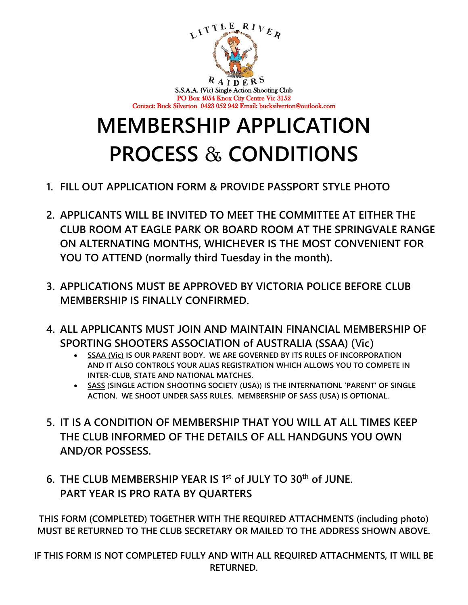

# **MEMBERSHIP APPLICATION PROCESS** & **CONDITIONS**

- **1. FILL OUT APPLICATION FORM & PROVIDE PASSPORT STYLE PHOTO**
- **2. APPLICANTS WILL BE INVITED TO MEET THE COMMITTEE AT EITHER THE CLUB ROOM AT EAGLE PARK OR BOARD ROOM AT THE SPRINGVALE RANGE ON ALTERNATING MONTHS, WHICHEVER IS THE MOST CONVENIENT FOR YOU TO ATTEND (normally third Tuesday in the month).**
- **3. APPLICATIONS MUST BE APPROVED BY VICTORIA POLICE BEFORE CLUB MEMBERSHIP IS FINALLY CONFIRMED.**
- **4. ALL APPLICANTS MUST JOIN AND MAINTAIN FINANCIAL MEMBERSHIP OF SPORTING SHOOTERS ASSOCIATION of AUSTRALIA (SSAA)** (V**ic**)
	- **SSAA (Vic) IS OUR PARENT BODY. WE ARE GOVERNED BY ITS RULES OF INCORPORATION AND IT ALSO CONTROLS YOUR ALIAS REGISTRATION WHICH ALLOWS YOU TO COMPETE IN INTER-CLUB, STATE AND NATIONAL MATCHES.**
	- **SASS (SINGLE ACTION SHOOTING SOCIETY (USA)) IS THE INTERNATIONL 'PARENT' OF SINGLE ACTION. WE SHOOT UNDER SASS RULES. MEMBERSHIP OF SASS (USA**) **IS OPTIONAL.**
- **5. IT IS A CONDITION OF MEMBERSHIP THAT YOU WILL AT ALL TIMES KEEP THE CLUB INFORMED OF THE DETAILS OF ALL HANDGUNS YOU OWN AND/OR POSSESS.**
- **6. THE CLUB MEMBERSHIP YEAR IS 1st of JULY TO 30th of JUNE. PART YEAR IS PRO RATA BY QUARTERS**

**THIS FORM (COMPLETED) TOGETHER WITH THE REQUIRED ATTACHMENTS (including photo) MUST BE RETURNED TO THE CLUB SECRETARY OR MAILED TO THE ADDRESS SHOWN ABOVE.**

**IF THIS FORM IS NOT COMPLETED FULLY AND WITH ALL REQUIRED ATTACHMENTS, IT WILL BE RETURNED.**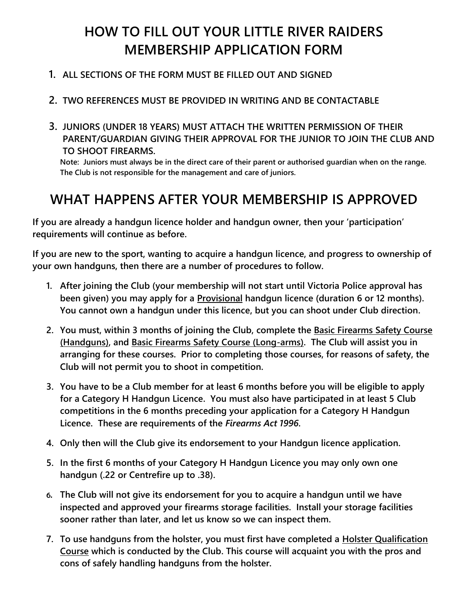# **HOW TO FILL OUT YOUR LITTLE RIVER RAIDERS MEMBERSHIP APPLICATION FORM**

### **1. ALL SECTIONS OF THE FORM MUST BE FILLED OUT AND SIGNED**

### **2. TWO REFERENCES MUST BE PROVIDED IN WRITING AND BE CONTACTABLE**

**3. JUNIORS (UNDER 18 YEARS) MUST ATTACH THE WRITTEN PERMISSION OF THEIR PARENT/GUARDIAN GIVING THEIR APPROVAL FOR THE JUNIOR TO JOIN THE CLUB AND TO SHOOT FIREARMS.**

**Note: Juniors must always be in the direct care of their parent or authorised guardian when on the range. The Club is not responsible for the management and care of juniors.**

# **WHAT HAPPENS AFTER YOUR MEMBERSHIP IS APPROVED**

**If you are already a handgun licence holder and handgun owner, then your 'participation' requirements will continue as before.** 

**If you are new to the sport, wanting to acquire a handgun licence, and progress to ownership of your own handguns, then there are a number of procedures to follow.**

- **1. After joining the Club (your membership will not start until Victoria Police approval has been given) you may apply for a Provisional handgun licence (duration 6 or 12 months). You cannot own a handgun under this licence, but you can shoot under Club direction.**
- **2. You must, within 3 months of joining the Club, complete the Basic Firearms Safety Course (Handguns), and Basic Firearms Safety Course (Long-arms). The Club will assist you in arranging for these courses. Prior to completing those courses, for reasons of safety, the Club will not permit you to shoot in competition.**
- **3. You have to be a Club member for at least 6 months before you will be eligible to apply for a Category H Handgun Licence. You must also have participated in at least 5 Club competitions in the 6 months preceding your application for a Category H Handgun Licence. These are requirements of the** *Firearms Act 1996***.**
- **4. Only then will the Club give its endorsement to your Handgun licence application.**
- **5. In the first 6 months of your Category H Handgun Licence you may only own one handgun (.22 or Centrefire up to .38).**
- 6. **The Club will not give its endorsement for you to acquire a handgun until we have inspected and approved your firearms storage facilities. Install your storage facilities sooner rather than later, and let us know so we can inspect them.**
- **7. To use handguns from the holster, you must first have completed a Holster Qualification Course which is conducted by the Club. This course will acquaint you with the pros and cons of safely handling handguns from the holster.**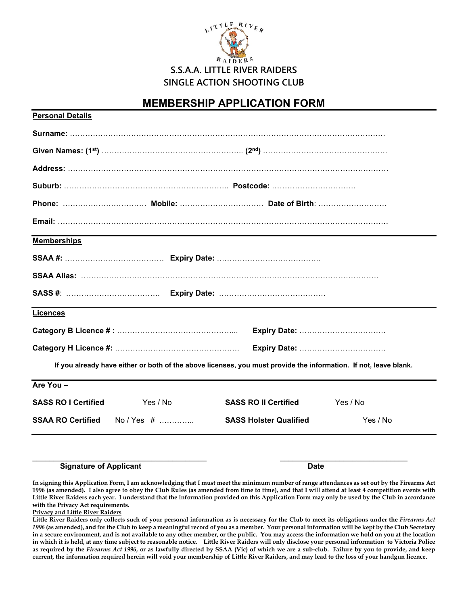

### **MEMBERSHIP APPLICATION FORM**

| <b>Personal Details</b>    |             |                                                                                                                  |          |
|----------------------------|-------------|------------------------------------------------------------------------------------------------------------------|----------|
|                            |             |                                                                                                                  |          |
|                            |             |                                                                                                                  |          |
|                            |             |                                                                                                                  |          |
|                            |             |                                                                                                                  |          |
|                            |             |                                                                                                                  |          |
|                            |             |                                                                                                                  |          |
| <b>Memberships</b>         |             |                                                                                                                  |          |
|                            |             |                                                                                                                  |          |
|                            |             |                                                                                                                  |          |
|                            |             |                                                                                                                  |          |
| <b>Licences</b>            |             |                                                                                                                  |          |
|                            |             |                                                                                                                  |          |
|                            |             |                                                                                                                  |          |
|                            |             | If you already have either or both of the above licenses, you must provide the information. If not, leave blank. |          |
| Are You -                  |             |                                                                                                                  |          |
| <b>SASS RO I Certified</b> | Yes / No    | <b>SASS RO II Certified</b>                                                                                      | Yes / No |
| <b>SSAA RO Certified</b>   | No / Yes  # | <b>SASS Holster Qualified</b>                                                                                    | Yes / No |
|                            |             |                                                                                                                  |          |

#### **Signature of Applicant Date**

**In signing this Application Form, I am acknowledging that I must meet the minimum number of range attendances as set out by the Firearms Act 1996 (as amended). I also agree to obey the Club Rules (as amended from time to time), and that I will attend at least 4 competition events with Little River Raiders each year. I understand that the information provided on this Application Form may only be used by the Club in accordance with the Privacy Act requirements.**

**Privacy and Little River Raiders**

**Little River Raiders only collects such of your personal information as is necessary for the Club to meet its obligations under the** *Firearms Act 1996* **(as amended), and for the Club to keep a meaningful record of you as a member. Your personal information will be kept by the Club Secretary in a secure environment, and is not available to any other member, or the public. You may access the information we hold on you at the location in which it is held, at any time subject to reasonable notice. Little River Raiders will only disclose your personal information to Victoria Police as required by the** *Firearms Act 1996***, or as lawfully directed by SSAA (Vic) of which we are a sub-club. Failure by you to provide, and keep current, the information required herein will void your membership of Little River Raiders, and may lead to the loss of your handgun licence.**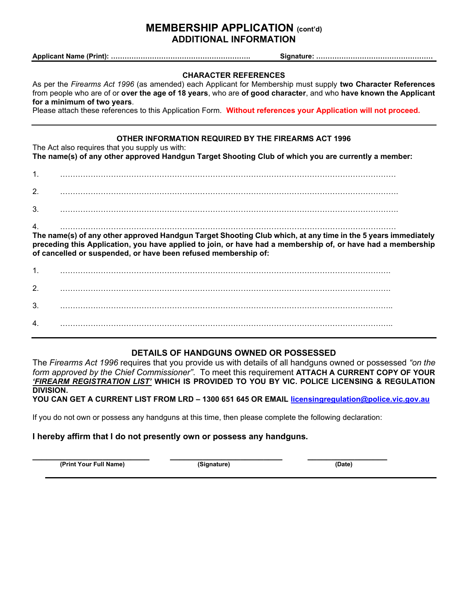### **MEMBERSHIP APPLICATION (cont'd) ADDITIONAL INFORMATION**

**Applicant Name (Print): ……………………………………………………. Signature: ……………………………………………**

#### **CHARACTER REFERENCES**

As per the *Firearms Act 1996* (as amended) each Applicant for Membership must supply **two Character References** from people who are of or **over the age of 18 years**, who are **of good character**, and who **have known the Applicant for a minimum of two years**.

Please attach these references to this Application Form. **Without references your Application will not proceed.**

#### **OTHER INFORMATION REQUIRED BY THE FIREARMS ACT 1996**

The Act also requires that you supply us with:

**The name(s) of any other approved Handgun Target Shooting Club of which you are currently a member:**

1. ……………………………………………………………………………………………………………………

2. …………………………………………………………………………………………………………………….

3. …………………………………………………………………………………………………………………….

#### 4. ……………………………………………………………………………………………………………………

**The name(s) of any other approved Handgun Target Shooting Club which, at any time in the 5 years immediately preceding this Application, you have applied to join, or have had a membership of, or have had a membership of cancelled or suspended, or have been refused membership of:**

| 1. |  |
|----|--|
| 2. |  |
| 3. |  |
| 4. |  |

#### **DETAILS OF HANDGUNS OWNED OR POSSESSED**

The *Firearms Act 1996* requires that you provide us with details of all handguns owned or possessed *"on the form approved by the Chief Commissioner"*. To meet this requirement **ATTACH A CURRENT COPY OF YOUR**  *'FIREARM REGISTRATION LIST'* **WHICH IS PROVIDED TO YOU BY VIC. POLICE LICENSING & REGULATION DIVISION.**

**YOU CAN GET A CURRENT LIST FROM LRD – 1300 651 645 OR EMAIL [licensingregulation@police.vic.gov.au](mailto:licensingregulation@police.vic.gov.au)**

If you do not own or possess any handguns at this time, then please complete the following declaration:

#### **I hereby affirm that I do not presently own or possess any handguns.**

**\_\_\_\_\_\_\_\_\_\_\_\_\_\_\_\_\_\_\_\_\_\_\_\_\_ \_\_\_\_\_\_\_\_\_\_\_\_\_\_\_\_\_\_\_\_\_\_\_\_ \_\_\_\_\_\_\_\_\_\_\_\_\_\_\_\_\_ (Print Your Full Name) (Signature) (Date)**